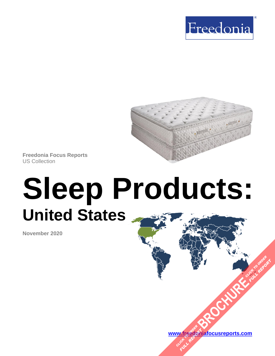



**Freedonia Focus Reports** US Collection

# **Sleep Products: United States**

**November 2020**

**[www.freedoniafocusreports.com](https://www.freedoniafocusreports.com/redirect.asp?progid=89534&url=/)** W.freegon

**[BROCHURE](https://www.freedoniafocusreports.com/Sleep-Products-United-States-FF20011/?progid=89541) PORTING TO ORDER** 

**FULL REPORT**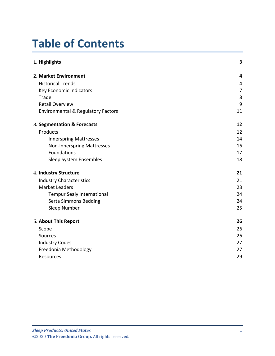# **Table of Contents**

| 1. Highlights                                 | 3              |
|-----------------------------------------------|----------------|
| 2. Market Environment                         | 4              |
| <b>Historical Trends</b>                      | 4              |
| Key Economic Indicators                       | $\overline{7}$ |
| Trade                                         | 8              |
| <b>Retail Overview</b>                        | 9              |
| <b>Environmental &amp; Regulatory Factors</b> | 11             |
| 3. Segmentation & Forecasts                   | 12             |
| Products                                      | 12             |
| <b>Innerspring Mattresses</b>                 | 14             |
| <b>Non-Innerspring Mattresses</b>             | 16             |
| Foundations                                   | 17             |
| Sleep System Ensembles                        | 18             |
| 4. Industry Structure                         | 21             |
| <b>Industry Characteristics</b>               | 21             |
| <b>Market Leaders</b>                         | 23             |
| <b>Tempur Sealy International</b>             | 24             |
| Serta Simmons Bedding                         | 24             |
| Sleep Number                                  | 25             |
| 5. About This Report                          | 26             |
| Scope                                         | 26             |
| Sources                                       | 26             |
| <b>Industry Codes</b>                         | 27             |
| Freedonia Methodology                         | 27             |
| Resources                                     | 29             |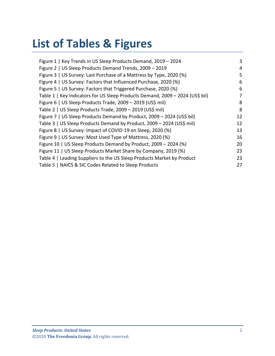# **List of Tables & Figures**

| Figure 1   Key Trends in US Sleep Products Demand, 2019 - 2024                | 3  |
|-------------------------------------------------------------------------------|----|
| Figure 2   US Sleep Products Demand Trends, 2009 - 2019                       | 4  |
| Figure 3   US Survey: Last Purchase of a Mattress by Type, 2020 (%)           | 5  |
| Figure 4   US Survey: Factors that Influenced Purchase, 2020 (%)              | 6  |
| Figure 5   US Survey: Factors that Triggered Purchase, 2020 (%)               | 6  |
| Table 1   Key Indicators for US Sleep Products Demand, 2009 - 2024 (US\$ bil) | 7  |
| Figure 6   US Sleep Products Trade, 2009 - 2019 (US\$ mil)                    | 8  |
| Table 2   US Sleep Products Trade, 2009 - 2019 (US\$ mil)                     | 8  |
| Figure 7   US Sleep Products Demand by Product, 2009 - 2024 (US\$ bil)        | 12 |
| Table 3   US Sleep Products Demand by Product, 2009 - 2024 (US\$ mil)         | 12 |
| Figure 8   US Survey: Impact of COVID-19 on Sleep, 2020 (%)                   | 13 |
| Figure 9   US Survey: Most Used Type of Mattress, 2020 (%)                    | 16 |
| Figure 10   US Sleep Products Demand by Product, 2009 - 2024 (%)              | 20 |
| Figure 11   US Sleep Products Market Share by Company, 2019 (%)               | 23 |
| Table 4   Leading Suppliers to the US Sleep Products Market by Product        | 23 |
| Table 5   NAICS & SIC Codes Related to Sleep Products                         | 27 |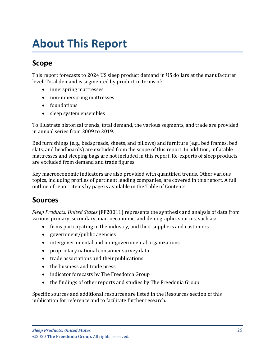# <span id="page-3-0"></span>**About This Report**

## <span id="page-3-1"></span>**Scope**

This report forecasts to 2024 US sleep product demand in US dollars at the manufacturer level. Total demand is segmented by product in terms of:

- innerspring mattresses
- non-innerspring mattresses
- foundations
- sleep system ensembles

To illustrate historical trends, total demand, the various segments, and trade are provided in annual series from 2009 to 2019.

Bed furnishings (e.g., bedspreads, sheets, and pillows) and furniture (e.g., bed frames, bed slats, and headboards) are excluded from the scope of this report. In addition, inflatable mattresses and sleeping bags are not included in this report. Re-exports of sleep products are excluded from demand and trade figures.

Key macroeconomic indicators are also provided with quantified trends. Other various topics, including profiles of pertinent leading companies, are covered in this report. A full outline of report items by page is available in the Table of Contents.

#### <span id="page-3-2"></span>**Sources**

*Sleep Products: United States* (FF20011) represents the synthesis and analysis of data from various primary, secondary, macroeconomic, and demographic sources, such as:

- firms participating in the industry, and their suppliers and customers
- government/public agencies
- intergovernmental and non-governmental organizations
- proprietary national consumer survey data
- trade associations and their publications
- the business and trade press
- indicator forecasts by The Freedonia Group
- the findings of other reports and studies by The Freedonia Group

Specific sources and additional resources are listed in the Resources section of this publication for reference and to facilitate further research.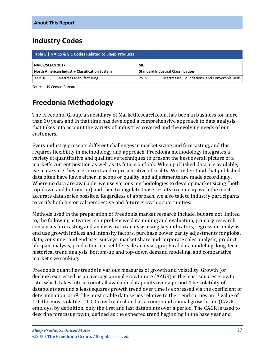## <span id="page-4-0"></span>**Industry Codes**

<span id="page-4-2"></span>

| Table 5   NAICS & SIC Codes Related to Sleep Products |                               |            |                                               |  |
|-------------------------------------------------------|-------------------------------|------------|-----------------------------------------------|--|
| <b>NAICS/SCIAN 2017</b>                               |                               | <b>SIC</b> |                                               |  |
| North American Industry Classification System         |                               |            | <b>Standard Industrial Classification</b>     |  |
| 337910                                                | <b>Mattress Manufacturing</b> | 2515       | Mattresses, Foundations, and Convertible Beds |  |

Source: US Census Bureau

## <span id="page-4-1"></span>**Freedonia Methodology**

The Freedonia Group, a subsidiary of MarketResearch.com, has been in business for more than 30 years and in that time has developed a comprehensive approach to data analysis that takes into account the variety of industries covered and the evolving needs of our customers.

Every industry presents different challenges in market sizing and forecasting, and this requires flexibility in methodology and approach. Freedonia methodology integrates a variety of quantitative and qualitative techniques to present the best overall picture of a market's current position as well as its future outlook: When published data are available, we make sure they are correct and representative of reality. We understand that published data often have flaws either in scope or quality, and adjustments are made accordingly. Where no data are available, we use various methodologies to develop market sizing (both top-down and bottom-up) and then triangulate those results to come up with the most accurate data series possible. Regardless of approach, we also talk to industry participants to verify both historical perspective and future growth opportunities.

Methods used in the preparation of Freedonia market research include, but are not limited to, the following activities: comprehensive data mining and evaluation, primary research, consensus forecasting and analysis, ratio analysis using key indicators, regression analysis, end use growth indices and intensity factors, purchase power parity adjustments for global data, consumer and end user surveys, market share and corporate sales analysis, product lifespan analysis, product or market life cycle analysis, graphical data modeling, long-term historical trend analysis, bottom-up and top-down demand modeling, and comparative market size ranking.

Freedonia quantifies trends in various measures of growth and volatility. Growth (or decline) expressed as an average annual growth rate (AAGR) is the least squares growth rate, which takes into account all available datapoints over a period. The volatility of datapoints around a least squares growth trend over time is expressed via the coefficient of determination, or  $r^2$ . The most stable data series relative to the trend carries an  $r^2$  value of 1.0; the most volatile – 0.0. Growth calculated as a compound annual growth rate (CAGR) employs, by definition, only the first and last datapoints over a period. The CAGR is used to describe forecast growth, defined as the expected trend beginning in the base year and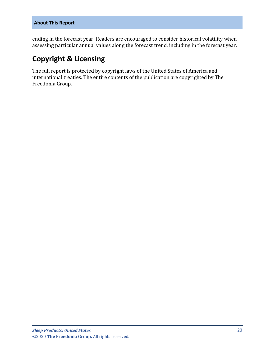ending in the forecast year. Readers are encouraged to consider historical volatility when assessing particular annual values along the forecast trend, including in the forecast year.

## **Copyright & Licensing**

The full report is protected by copyright laws of the United States of America and international treaties. The entire contents of the publication are copyrighted by The Freedonia Group.